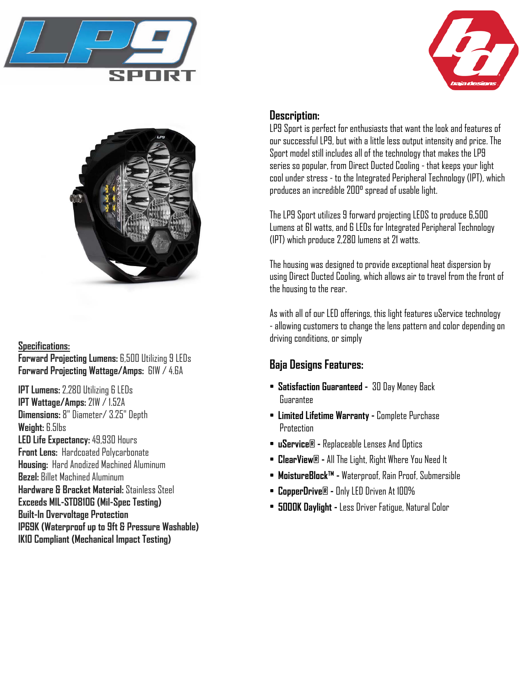





**Specifications: Forward Projecting Lumens:** 6,500 Utilizing 9 LEDs **Forward Projecting Wattage/Amps:** 61W / 4.6A

**IPT Lumens:** 2,280 Utilizing 6 LEDs **IPT Wattage/Amps:** 21W / 1.52A **Dimensions:** 8" Diameter/ 3.25" Depth **Weight:** 6.5lbs **LED Life Expectancy:** 49,930 Hours **Front Lens:** Hardcoated Polycarbonate **Housing:** Hard Anodized Machined Aluminum **Bezel:** Billet Machined Aluminum **Hardware & Bracket Material:** Stainless Steel **Exceeds MIL-STD810G (Mil-Spec Testing) Built-In Overvoltage Protection IP69K (Waterproof up to 9ft & Pressure Washable) IK10 Compliant (Mechanical Impact Testing)**

## **Description:**

LP9 Sport is perfect for enthusiasts that want the look and features of our successful LP9, but with a little less output intensity and price. The Sport model still includes all of the technology that makes the LP9 series so popular, from Direct Ducted Cooling - that keeps your light cool under stress - to the Integrated Peripheral Technology (IPT), which produces an incredible 200° spread of usable light.

The LP9 Sport utilizes 9 forward projecting LEDS to produce 6,500 Lumens at 61 watts, and 6 LEDs for Integrated Peripheral Technology (IPT) which produce 2,280 lumens at 21 watts.

The housing was designed to provide exceptional heat dispersion by using Direct Ducted Cooling, which allows air to travel from the front of the housing to the rear.

As with all of our LED offerings, this light features uService technology - allowing customers to change the lens pattern and color depending on driving conditions, or simply

## **Baja Designs Features:**

- **Satisfaction Guaranteed** 30 Day Money Back Guarantee
- **Limited Lifetime Warranty -** Complete Purchase **Protection**
- **uService® -** Replaceable Lenses And Optics
- **ClearView® -** All The Light, Right Where You Need It
- **MoistureBlock™ -** Waterproof, Rain Proof, Submersible
- **CopperDrive® -** Only LED Driven At 100%
- **5000K Daylight -** Less Driver Fatigue, Natural Color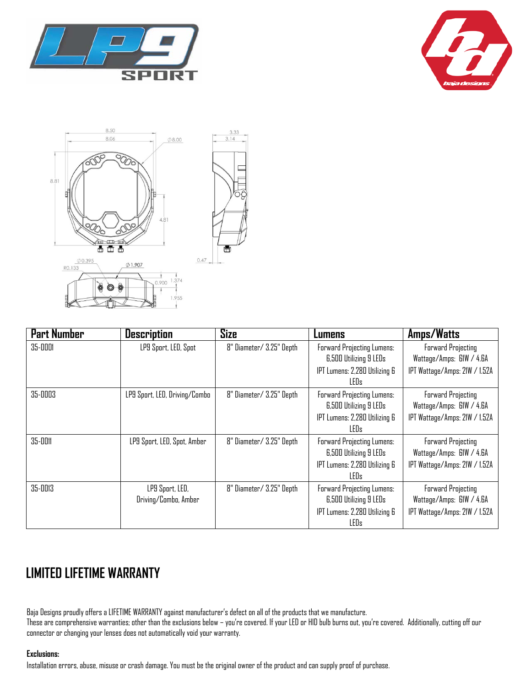







| <b>Part Number</b> | <b>Description</b>                      | <b>Size</b>              | Lumens                                                                                                                  | Amps/Watts                                                                             |
|--------------------|-----------------------------------------|--------------------------|-------------------------------------------------------------------------------------------------------------------------|----------------------------------------------------------------------------------------|
| 35-0001            | LP9 Sport, LED, Spot                    | 8" Diameter/ 3.25" Depth | <b>Forward Projecting Lumens:</b><br><b>6,500 Utilizing 9 LEDs</b>                                                      | <b>Forward Projecting</b><br>Wattage/Amps: GIW / 4.6A                                  |
|                    |                                         |                          | IPT Lumens: 2,280 Utilizing 6<br>LED <sub>s</sub>                                                                       | IPT Wattage/Amps: 21W / 1.52A                                                          |
| 35-0003            | LP9 Sport, LED, Driving/Combo           | 8" Diameter/ 3.25" Depth | <b>Forward Projecting Lumens:</b><br><b>6,500 Utilizing 9 LEDs</b><br>IPT Lumens: 2,280 Utilizing 6<br>LED <sub>s</sub> | <b>Forward Projecting</b><br>Wattage/Amps: GIW / 4.6A<br>IPT Wattage/Amps: 21W / 1.52A |
| 35-0011            | LP9 Sport, LED, Spot, Amber             | 8" Diameter/ 3.25" Depth | <b>Forward Projecting Lumens:</b><br>6,500 Utilizing 9 LEDs<br>IPT Lumens: 2,280 Utilizing 6<br>LEDs                    | <b>Forward Projecting</b><br>Wattage/Amps: GIW / 4.6A<br>IPT Wattage/Amps: 21W / 1.52A |
| 35-0013            | LP9 Sport, LED,<br>Driving/Combo, Amber | 8" Diameter/ 3.25" Depth | Forward Projecting Lumens:<br><b>6,500 Utilizing 9 LEDs</b><br>IPT Lumens: 2,280 Utilizing 6<br>LEDs                    | <b>Forward Projecting</b><br>Wattage/Amps: GIW / 4.6A<br>IPT Wattage/Amps: 21W / 1.52A |

# **LIMITED LIFETIME WARRANTY**

Baja Designs proudly offers a LIFETIME WARRANTY against manufacturer's defect on all of the products that we manufacture.

These are comprehensive warranties; other than the exclusions below – you're covered. If your LED or HID bulb burns out, you're covered. Additionally, cutting off our connector or changing your lenses does not automatically void your warranty.

### **Exclusions:**

Installation errors, abuse, misuse or crash damage. You must be the original owner of the product and can supply proof of purchase.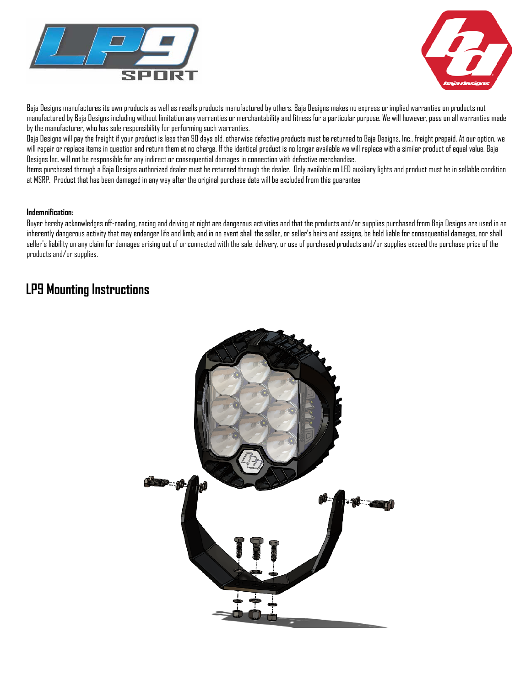



Baja Designs manufactures its own products as well as resells products manufactured by others. Baja Designs makes no express or implied warranties on products not manufactured by Baja Designs including without limitation any warranties or merchantability and fitness for a particular purpose. We will however, pass on all warranties made by the manufacturer, who has sole responsibility for performing such warranties.

Baja Designs will pay the freight if your product is less than 90 days old, otherwise defective products must be returned to Baja Designs, Inc., freight prepaid. At our option, we will repair or replace items in question and return them at no charge. If the identical product is no longer available we will replace with a similar product of equal value. Baja Designs Inc. will not be responsible for any indirect or consequential damages in connection with defective merchandise.

Items purchased through a Baja Designs authorized dealer must be returned through the dealer. Only available on LED auxiliary lights and product must be in sellable condition at MSRP. Product that has been damaged in any way after the original purchase date will be excluded from this guarantee

#### **Indemnification:**

Buyer hereby acknowledges off-roading, racing and driving at night are dangerous activities and that the products and/or supplies purchased from Baja Designs are used in an inherently dangerous activity that may endanger life and limb; and in no event shall the seller, or seller's heirs and assigns, be held liable for consequential damages, nor shall seller's liability on any claim for damages arising out of or connected with the sale, delivery, or use of purchased products and/or supplies exceed the purchase price of the products and/or supplies.

## **LP9 Mounting Instructions**

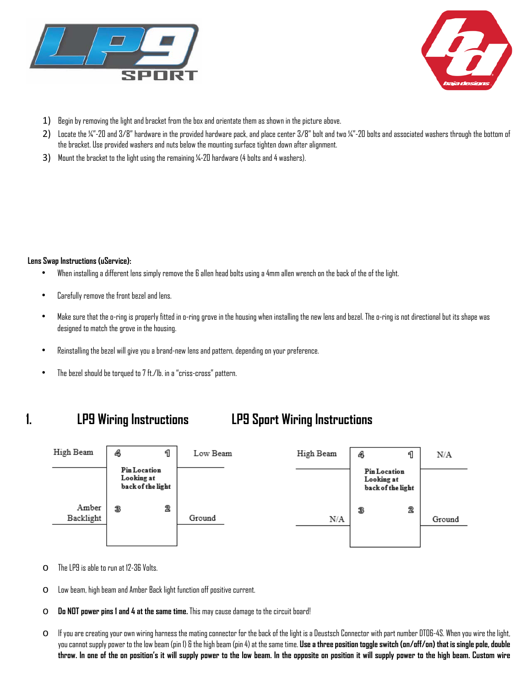



- 1) Begin by removing the light and bracket from the box and orientate them as shown in the picture above.
- 2) Locate the ¼"-20 and 3/8" hardware in the provided hardware pack, and place center 3/8" bolt and two ¼"-20 bolts and associated washers through the bottom of the bracket. Use provided washers and nuts below the mounting surface tighten down after alignment.
- 3) Mount the bracket to the light using the remaining 1/4-20 hardware (4 bolts and 4 washers).

#### **Lens Swap Instructions (uService):**

- When installing a different lens simply remove the 6 allen head bolts using a 4mm allen wrench on the back of the of the light.
- Carefully remove the front bezel and lens.
- Make sure that the o-ring is properly fitted in o-ring grove in the housing when installing the new lens and bezel. The o-ring is not directional but its shape was designed to match the grove in the housing.
- Reinstalling the bezel will give you a brand-new lens and pattern, depending on your preference.
- The bezel should be torqued to 7 ft./lb. in a "criss-cross" pattern.

# **1. LP9 Wiring Instructions LP9 Sport Wiring Instructions**



- o The LP9 is able to run at 12-36 Volts.
- o Low beam, high beam and Amber Back light function off positive current.
- o **Do NOT power pins 1 and 4 at the same time.** This may cause damage to the circuit board!
- $\circ$  If you are creating your own wiring harness the mating connector for the back of the light is a Deustsch Connector with part number DTO6-4S. When you wire the light, you cannot supply power to the low beam (pin 1) & the high beam (pin 4) at the same time. **Use a three position toggle switch (on/off/on) that is single pole, double throw. In one of the on position's it will supply power to the low beam. In the opposite on position it will supply power to the high beam. Custom wire**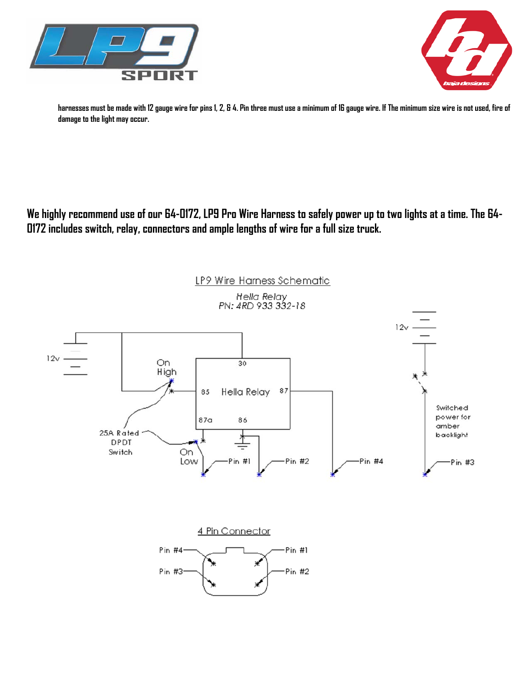



**harnesses must be made with 12 gauge wire for pins 1, 2, & 4. Pin three must use a minimum of 16 gauge wire. If The minimum size wire is not used, fire of damage to the light may occur.** 

**We highly recommend use of our 64-0172, LP9 Pro Wire Harness to safely power up to two lights at a time. The 64- 0172 includes switch, relay, connectors and ample lengths of wire for a full size truck.**